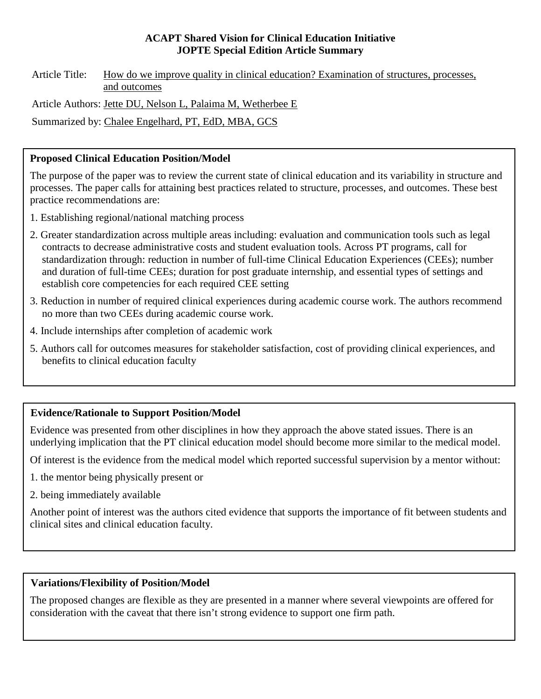#### **ACAPT Shared Vision for Clinical Education Initiative JOPTE Special Edition Article Summary**

Article Title: How do we improve quality in clinical education? Examination of structures, processes, and outcomes

Article Authors: Jette DU, Nelson L, Palaima M, Wetherbee E

Summarized by: Chalee Engelhard, PT, EdD, MBA, GCS

## **Proposed Clinical Education Position/Model**

The purpose of the paper was to review the current state of clinical education and its variability in structure and processes. The paper calls for attaining best practices related to structure, processes, and outcomes. These best practice recommendations are:

- 1. Establishing regional/national matching process
- 2. Greater standardization across multiple areas including: evaluation and communication tools such as legal contracts to decrease administrative costs and student evaluation tools. Across PT programs, call for standardization through: reduction in number of full-time Clinical Education Experiences (CEEs); number and duration of full-time CEEs; duration for post graduate internship, and essential types of settings and establish core competencies for each required CEE setting
- 3. Reduction in number of required clinical experiences during academic course work. The authors recommend no more than two CEEs during academic course work.
- 4. Include internships after completion of academic work
- 5. Authors call for outcomes measures for stakeholder satisfaction, cost of providing clinical experiences, and benefits to clinical education faculty

## **Evidence/Rationale to Support Position/Model**

Evidence was presented from other disciplines in how they approach the above stated issues. There is an underlying implication that the PT clinical education model should become more similar to the medical model.

Of interest is the evidence from the medical model which reported successful supervision by a mentor without:

- 1. the mentor being physically present or
- 2. being immediately available

Another point of interest was the authors cited evidence that supports the importance of fit between students and clinical sites and clinical education faculty.

## **Variations/Flexibility of Position/Model**

The proposed changes are flexible as they are presented in a manner where several viewpoints are offered for consideration with the caveat that there isn't strong evidence to support one firm path.